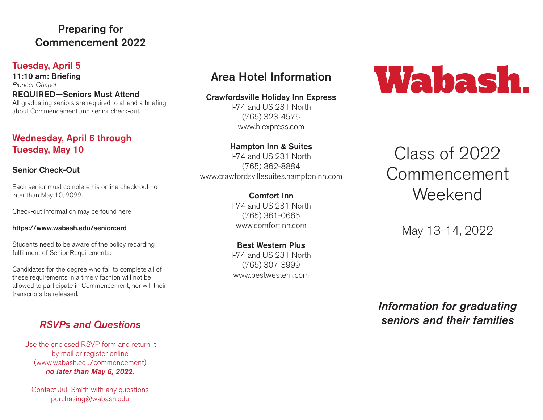# Preparing for Commencement 2022

#### Tuesday, April 5

11:10 am: Briefing *Pioneer Chapel* REQUIRED—Seniors Must Attend All graduating seniors are required to attend a briefing about Commencement and senior check-out.

### Wednesday, April 6 through Tuesday, May 10

#### Senior Check-Out

Each senior must complete his online check-out no later than May 10, 2022.

Check-out information may be found here:

#### https://www.wabash.edu/seniorcard

Students need to be aware of the policy regarding fulfillment of Senior Requirements:

Candidates for the degree who fail to complete all of these requirements in a timely fashion will not be allowed to participate in Commencement, nor will their transcripts be released.

# *RSVPs and Questions*

Use the enclosed RSVP form and return it by mail or register online (www.wabash.edu/commencement) *no later than May 6, 2022.*

Contact Juli Smith with any questions purchasing@wabash.edu

# Area Hotel Information

#### Crawfordsville Holiday Inn Express

I-74 and US 231 North (765) 323-4575 www.hiexpress.com

## Hampton Inn & Suites

I-74 and US 231 North (765) 362-8884 www.crawfordsvillesuites.hamptoninn.com

> Comfort Inn I-74 and US 231 North (765) 361-0665 www.comfortinn.com

> Best Western Plus I-74 and US 231 North (765) 307-3999 www.bestwestern.com

# Wabash.

# Class of 2022 Commencement Weekend

May 13-14, 2022

*Information for graduating seniors and their families*